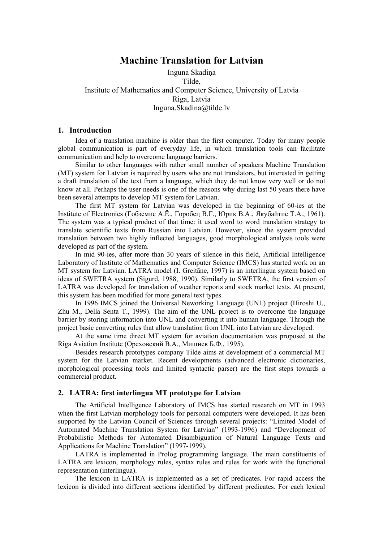# **Machine Translation for Latvian**

# Inguna Skadiņa Tilde, Institute of Mathematics and Computer Science, University of Latvia Riga, Latvia Inguna.Skadina@tilde.lv

### **1. Introduction**

Idea of a translation machine is older than the first computer. Today for many people global communication is part of everyday life, in which translation tools can facilitate communication and help to overcome language barriers.

Similar to other languages with rather small number of speakers Machine Translation (MT) system for Latvian is required by users who are not translators, but interested in getting a draft translation of the text from a language, which they do not know very well or do not know at all. Perhaps the user needs is one of the reasons why during last 50 years there have been several attempts to develop MT system for Latvian.

The first MT system for Latvian was developed in the beginning of 60-ies at the Institute of Electronics (Гобземис А.Ё., Горобец В.Г., Юрик В.А., Якубайтис Т.А., 1961). The system was a typical product of that time: it used word to word translation strategy to translate scientific texts from Russian into Latvian. However, since the system provided translation between two highly inflected languages, good morphological analysis tools were developed as part of the system.

In mid 90-ies, after more than 30 years of silence in this field, Artificial Intelligence Laboratory of Institute of Mathematics and Computer Science (IMCS) has started work on an MT system for Latvian. LATRA model (I. Greitāne, 1997) is an interlingua system based on ideas of SWETRA system (Sigurd, 1988, 1990). Similarly to SWETRA, the first version of LATRA was developed for translation of weather reports and stock market texts. At present, this system has been modified for more general text types.

In 1996 IMCS joined the Universal Neworking Language (UNL) project (Hiroshi U., Zhu M., Della Senta T., 1999). The aim of the UNL project is to overcome the language barrier by storing information into UNL and converting it into human language. Through the project basic converting rules that allow translation from UNL into Latvian are developed.

At the same time direct MT system for aviation documentation was proposed at the Riga Aviation Institute (Ореховский В.А., Мишнев Б.Ф., 1995).

Besides research prototypes company Tilde aims at development of a commercial MT system for the Latvian market. Recent developments (advanced electronic dictionaries, morphological processing tools and limited syntactic parser) are the first steps towards a commercial product.

## **2. LATRA: first interlingua MT prototype for Latvian**

The Artificial Intelligence Laboratory of IMCS has started research on MT in 1993 when the first Latvian morphology tools for personal computers were developed. It has been supported by the Latvian Council of Sciences through several projects: "Limited Model of Automated Machine Translation System for Latvian" (1993-1996) and "Development of Probabilistic Methods for Automated Disambiguation of Natural Language Texts and Applications for Machine Translation" (1997-1999).

LATRA is implemented in Prolog programming language. The main constituents of LATRA are lexicon, morphology rules, syntax rules and rules for work with the functional representation (interlingua).

The lexicon in LATRA is implemented as a set of predicates. For rapid access the lexicon is divided into different sections identified by different predicates. For each lexical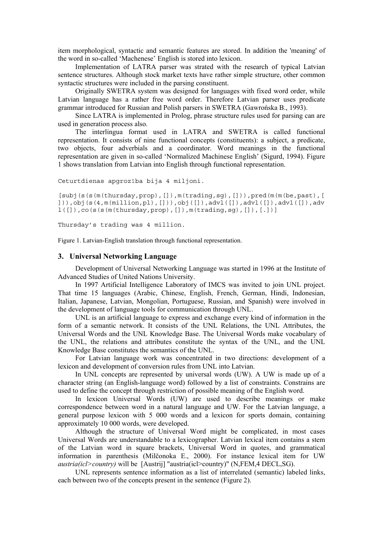item morphological, syntactic and semantic features are stored. In addition the 'meaning' of the word in so-called 'Machenese' English is stored into lexicon.

Implementation of LATRA parser was strated with the research of typical Latvian sentence structures. Although stock market texts have rather simple structure, other common syntactic structures were included in the parsing constituent.

Originally SWETRA system was designed for languages with fixed word order, while Latvian language has a rather free word order. Therefore Latvian parser uses predicate grammar introduced for Russian and Polish parsers in SWETRA (Gawrońska B., 1993).

Since LATRA is implemented in Prolog, phrase structure rules used for parsing can are used in generation process also.

The interlingua format used in LATRA and SWETRA is called functional representation. It consists of nine functional concepts (constituents): a subject, a predicate, two objects, four adverbials and a coordinator. Word meanings in the functional representation are given in so-called 'Normalized Machinese English' (Sigurd, 1994). Figure 1 shows translation from Latvian into English through functional representation.

```
Ceturtdienas apgrozība bija 4 miljoni.
```

```
[subj(s(s(m(thursday,prop), []), m(trading,sg), [])), pred(m(m(be,past), [
])),obj(s(4,m(million,pl),[])),obj([]),advl([]),advl([]),advl([]),adv
l([]),co(s(s(m(thursday,prop),[]),m(trading,sg),[]),[.])]
```
Thursday's trading was 4 million.

Figure 1. Latvian-English translation through functional representation.

#### **3. Universal Networking Language**

Development of Universal Networking Language was started in 1996 at the Institute of Advanced Studies of United Nations University.

In 1997 Artificial Intelligence Laboratory of IMCS was invited to join UNL project. That time 15 languages (Arabic, Chinese, English, French, German, Hindi, Indonesian, Italian, Japanese, Latvian, Mongolian, Portuguese, Russian, and Spanish) were involved in the development of language tools for communication through UNL.

UNL is an artificial language to express and exchange every kind of information in the form of a semantic network. It consists of the UNL Relations, the UNL Attributes, the Universal Words and the UNL Knowledge Base. The Universal Words make vocabulary of the UNL, the relations and attributes constitute the syntax of the UNL, and the UNL Knowledge Base constitutes the semantics of the UNL.

For Latvian language work was concentrated in two directions: development of a lexicon and development of conversion rules from UNL into Latvian.

In UNL concepts are represented by universal words (UW). A UW is made up of a character string (an English-language word) followed by a list of constraints. Constrains are used to define the concept through restriction of possible meaning of the English word.

In lexicon Universal Words (UW) are used to describe meanings or make correspondence between word in a natural language and UW. For the Latvian language, a general purpose lexicon with 5 000 words and a lexicon for sports domain, containing approximately 10 000 words, were developed.

Although the structure of Universal Word might be complicated, in most cases Universal Words are understandable to a lexicographer. Latvian lexical item contains a stem of the Latvian word in square brackets, Universal Word in quotes, and grammatical information in parenthesis (Milčonoka E., 2000). For instance lexical item for UW *austria(icl>country)* will be [Austrij] "austria(icl>country)" (N,FEM,4 DECL,SG).

UNL represents sentence information as a list of interrelated (semantic) labeled links, each between two of the concepts present in the sentence (Figure 2).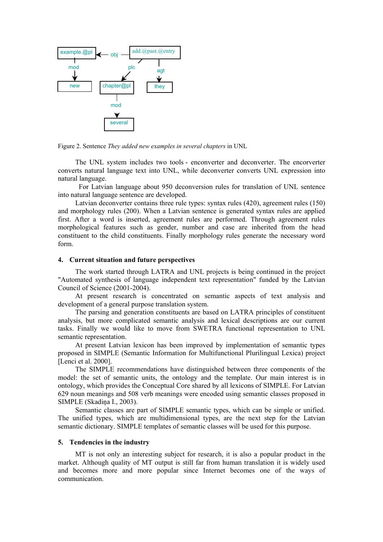

Figure 2. Sentence *They added new examples in several chapters* in UNL

The UNL system includes two tools - enconverter and deconverter. The encorverter converts natural language text into UNL, while deconverter converts UNL expression into natural language.

 For Latvian language about 950 deconversion rules for translation of UNL sentence into natural language sentence are developed.

Latvian deconverter contains three rule types: syntax rules (420), agreement rules (150) and morphology rules (200). When a Latvian sentence is generated syntax rules are applied first. After a word is inserted, agreement rules are performed. Through agreement rules morphological features such as gender, number and case are inherited from the head constituent to the child constituents. Finally morphology rules generate the necessary word form.

#### **4. Current situation and future perspectives**

The work started through LATRA and UNL projects is being continued in the project "Automated synthesis of language independent text representation" funded by the Latvian Council of Science (2001-2004).

At present research is concentrated on semantic aspects of text analysis and development of a general purpose translation system.

The parsing and generation constituents are based on LATRA principles of constituent analysis, but more complicated semantic analysis and lexical descriptions are our current tasks. Finally we would like to move from SWETRA functional representation to UNL semantic representation.

At present Latvian lexicon has been improved by implementation of semantic types proposed in SIMPLE (Semantic Information for Multifunctional Plurilingual Lexica) project [Lenci et al. 2000].

The SIMPLE recommendations have distinguished between three components of the model: the set of semantic units, the ontology and the template. Our main interest is in ontology, which provides the Conceptual Core shared by all lexicons of SIMPLE. For Latvian 629 noun meanings and 508 verb meanings were encoded using semantic classes proposed in SIMPLE (Skadiņa I., 2003).

Semantic classes are part of SIMPLE semantic types, which can be simple or unified. The unified types, which are multidimensional types, are the next step for the Latvian semantic dictionary. SIMPLE templates of semantic classes will be used for this purpose.

#### **5. Tendencies in the industry**

MT is not only an interesting subject for research, it is also a popular product in the market. Although quality of MT output is still far from human translation it is widely used and becomes more and more popular since Internet becomes one of the ways of communication.